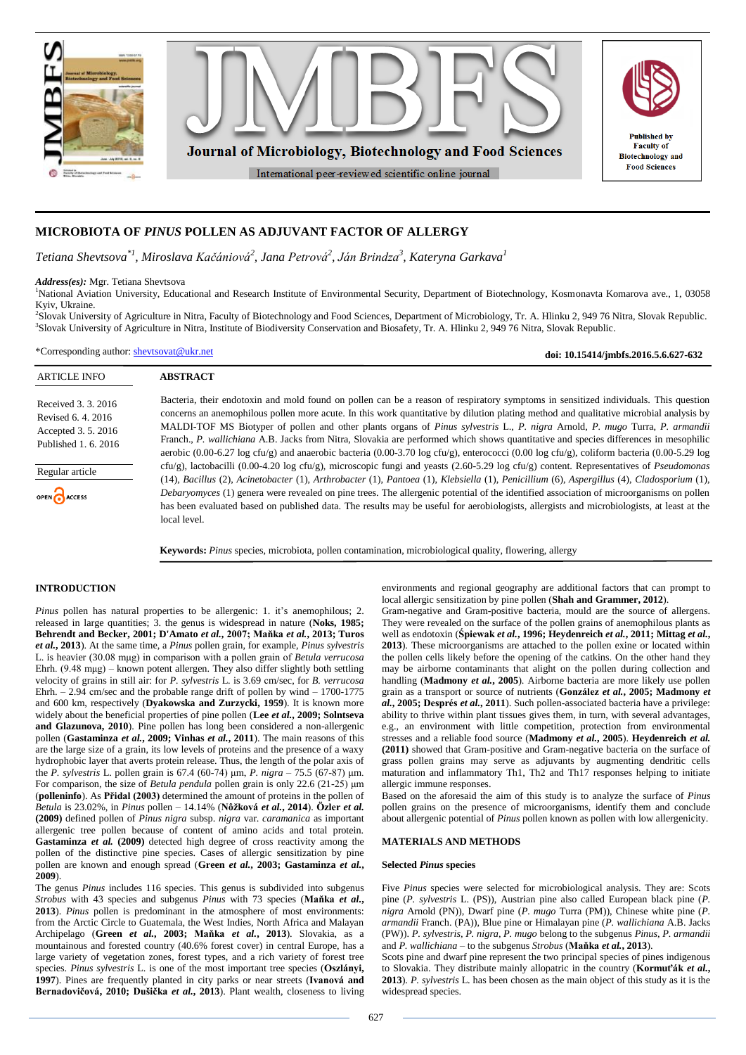

# **MICROBIOTA OF** *PINUS* **POLLEN AS ADJUVANT FACTOR OF ALLERGY**

*Tetiana Shevtsova\*1, Miroslava Kačániová<sup>2</sup> , Jana Petrová<sup>2</sup> , Ján Brindza<sup>3</sup> , Kateryna Garkava<sup>1</sup>*

*Address(es):* Mgr. Tetiana Shevtsova

<sup>1</sup>National Aviation University, Educational and Research Institute of Environmental Security, Department of Biotechnology, Kosmonavta Komarova ave., 1, 03058 Kyiv, Ukraine.

2 Slovak University of Agriculture in Nitra, Faculty of Biotechnology and Food Sciences, Department of Microbiology, Tr. A. Hlinku 2, 949 76 Nitra, Slovak Republic. 3 Slovak University of Agriculture in Nitra, Institute of Biodiversity Conservation and Biosafety, Tr. A. Hlinku 2, 949 76 Nitra, Slovak Republic.

\*Corresponding author: [shevtsovat@ukr.net](mailto:shevtsovat@ukr.net)

ARTICLE INFO **ABSTRACT** Bacteria, their endotoxin and mold found on pollen can be a reason of respiratory symptoms in sensitized individuals. This question Received 3. 3. 2016 concerns an anemophilous pollen more acute. In this work quantitative by dilution plating method and qualitative microbial analysis by Revised 6. 4. 2016 MALDI-TOF MS Biotyper of pollen and other plants organs of *Pinus sylvestris* L., *P. nigra* Arnold, *P. mugo* Turra, *P. armandii* Accepted 3. 5. 2016 Franch., *P. wallichiana* A.B. Jacks from Nitra, Slovakia are performed which shows quantitative and species differences in mesophilic Published 1. 6. 2016 aerobic (0.00-6.27 log cfu/g) and anaerobic bacteria (0.00-3.70 log cfu/g), enterococci (0.00 log cfu/g), coliform bacteria (0.00-5.29 log cfu/g), lactobacilli (0.00-4.20 log cfu/g), microscopic fungi and yeasts (2.60-5.29 log cfu/g) content. Representatives of *Pseudomonas* Regular article (14), *Bacillus* (2), *Acinetobacter* (1), *Arthrobacter* (1), *Pantoea* (1), *Klebsiella* (1), *Penicillium* (6), *Aspergillus* (4), *Cladosporium* (1), *Debaryomyces* (1) genera were revealed on pine trees. The allergenic potential of the identified association of microorganisms on pollen OPEN ACCESS has been evaluated based on published data. The results may be useful for aerobiologists, allergists and microbiologists, at least at the local level.

**Keywords:** *Pinus* species, microbiota, pollen contamination, microbiological quality, flowering, allergy

# **INTRODUCTION**

*Pinus* pollen has natural properties to be allergenic: 1. it's anemophilous; 2. released in large quantities; 3. the genus is widespread in nature (**Noks, 1985; Behrendt and Becker, 2001; D'Amato** *et al.***, 2007; Maňka** *et al.***, 2013; Turos** *et al.***, 2013**). At the same time, a *Pinus* pollen grain, for example, *Pinus sylvestris* L. is heavier (30.08 mμg) in comparison with a pollen grain of *Betula verrucosa* Ehrh. (9.48 mµg) – known potent allergen. They also differ slightly both settling velocity of grains in still air: for *P. sylvestris* L. is 3.69 сm/sec, for *B. verrucosa* Ehrh. – 2.94 сm/sec and the probable range drift of pollen by wind – 1700-1775 and 600 km, respectively (**Dyakowska and Zurzycki, 1959**). It is known more widely about the beneficial properties of pine pollen (**Lee** *et al.***, 2009; Solntseva and Glazunova, 2010**). Pine pollen has long been considered a non-allergenic pollen (**Gastaminza** *et al.***, 2009; Vinhas** *et al.***, 2011**). The main reasons of this are the large size of a grain, its low levels of proteins and the presence of a waxy hydrophobic layer that averts protein release. Thus, the length of the polar axis of the *P. sylvestris* L. pollen grain is 67.4 (60-74) μm, *P. nigra* – 75.5 (67-87) μm. For comparison, the size of *Betula pendula* pollen grain is only 22.6 (21-25) μm (**polleninfo**). As **Přidal (2003)** determined the amount of proteins in the pollen of *Betula* is 23.02%, in *Pinus* pollen – 14.14% (**Nôžková** *et al.***, 2014**). **Özler** *et al.* **(2009)** defined pollen of *Pinus nigra* subsp. *nigra* var. *caramanica* as important allergenic tree pollen because of content of amino acids and total protein. **Gastaminza** *et al.* **(2009)** detected high degree of cross reactivity among the pollen of the distinctive pine species. Cases of allergic sensitization by pine pollen are known and enough spread (**Green** *et al.***, 2003; Gastaminza** *et al.***, 2009**).

The genus *Pinus* includes 116 species. This genus is subdivided into subgenus *Strobus* with 43 species and subgenus *Pinus* with 73 species (**Maňka** *et al.***, 2013**). *Pinus* pollen is predominant in the atmosphere of most environments: from the Arctic Circle to Guatemala, the West Indies, North Africa and Malayan Archipelago (**Green** *et al.***, 2003; Maňka** *et al.***, 2013**). Slovakia, as a mountainous and forested country (40.6% forest cover) in central Europe, has a large variety of vegetation zones, forest types, and a rich variety of forest tree species. *Pinus sylvestris* L. is one of the most important tree species (**Oszlányi, 1997**). Pines are frequently planted in city parks or near streets (**Ivanová and Bernadovičová, 2010; Dušička** *et al.***, 2013**). Plant wealth, closeness to living environments and regional geography are additional factors that can prompt to local allergic sensitization by pine pollen (**Shah and Grammer, 2012**).

**doi: 10.15414/jmbfs.2016.5.6.627-632**

Gram-negative and Gram-positive bacteria, mould are the source of allergens. They were revealed on the surface of the pollen grains of anemophilous plants as well as endotoxin (**Śpiewak** *et al.***, 1996; Heydenreich** *et al.***, 2011; Mittag** *et al.***, 2013**). These microorganisms are attached to the pollen exine or located within the pollen cells likely before the opening of the catkins. On the other hand they may be airborne contaminants that alight on the pollen during collection and handling (**Madmony** *et al.***, 2005**). Airborne bacteria are more likely use pollen grain as a transport or source of nutrients (**González** *et al.***, 2005; Madmony** *et al.***, 2005; Després** *et al.***, 2011**). Such pollen-associated bacteria have a privilege: ability to thrive within plant tissues gives them, in turn, with several advantages, e.g., an environment with little competition, protection from environmental stresses and a reliable food source (**Madmony** *et al.***, 2005**). **Heydenreich** *et al.* **(2011)** showed that Gram-positive and Gram-negative bacteria on the surface of grass pollen grains may serve as adjuvants by augmenting dendritic cells maturation and inflammatory Th1, Th2 and Th17 responses helping to initiate allergic immune responses.

Based on the aforesaid the aim of this study is to analyze the surface of *Pinus* pollen grains on the presence of microorganisms, identify them and conclude about allergenic potential of *Pinus* pollen known as pollen with low allergenicity.

# **MATERIALS AND METHODS**

## **Selected** *Pinus* **species**

Five *Pinus* species were selected for microbiological analysis. They are: Scots pine (*P. sylvestris* L. (PS)), Austrian pine also called European black pine (*P. nigra* Arnold (PN)), Dwarf pine (*P. mugo* Turra (PM)), Chinese white pine (*P. armandii* Franch. (PA)), Blue pine or Himalayan pine (*P. wallichiana* A.B. Jacks (PW)). *P. sylvestris, P. nigra, P. mugo* belong to the subgenus *Pinus*, *P. armandii*  and *P. wallichiana* – to the subgenus *Strobus* (**Maňka** *et al.***, 2013**).

Scots pine and dwarf pine represent the two principal species of pines indigenous to Slovakia. They distribute mainly allopatric in the country (**Kormuťák** *et al.***, 2013**). *P. sylvestris* L. has been chosen as the main object of this study as it is the widespread species.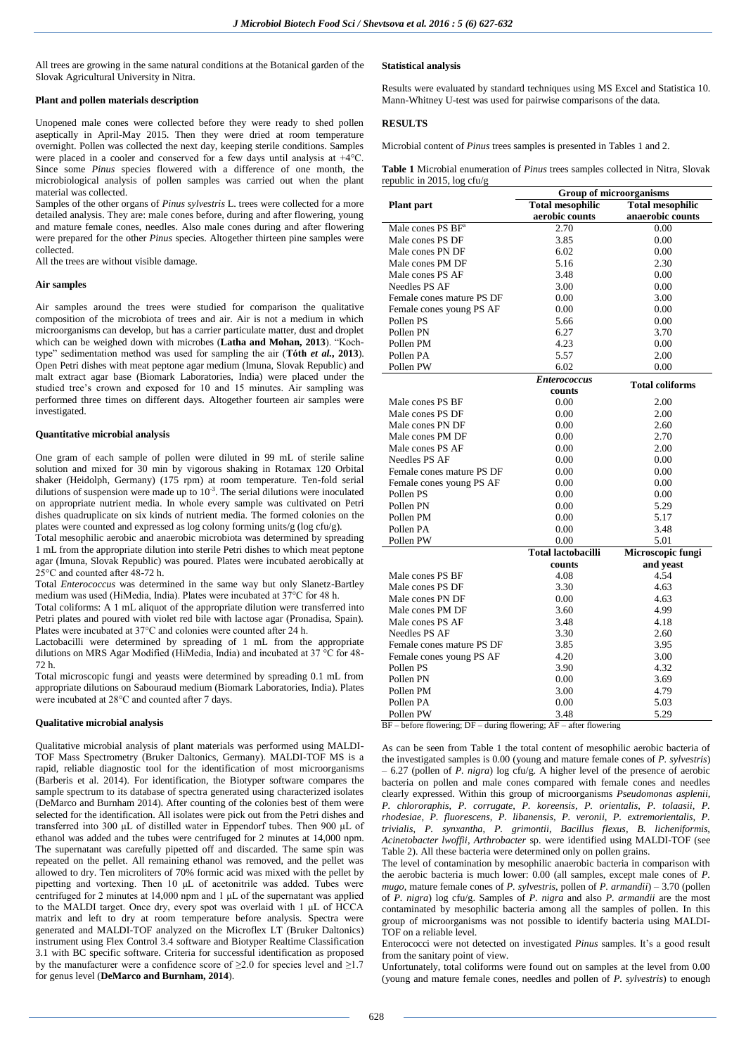All trees are growing in the same natural conditions at the Botanical garden of the Slovak Agricultural University in Nitra.

# **Plant and pollen materials description**

Unopened male cones were collected before they were ready to shed pollen aseptically in April-May 2015. Then they were dried at room temperature overnight. Pollen was collected the next day, keeping sterile conditions. Samples were placed in a cooler and conserved for a few days until analysis at +4°C. Since some *Pinus* species flowered with a difference of one month, the microbiological analysis of pollen samples was carried out when the plant material was collected.

Samples of the other organs of *Pinus sylvestris* L. trees were collected for a more detailed analysis. They are: male cones before, during and after flowering, young and mature female cones, needles. Also male cones during and after flowering were prepared for the other *Pinus* species. Altogether thirteen pine samples were collected.

All the trees are without visible damage.

# **Air samples**

Air samples around the trees were studied for comparison the qualitative composition of the microbiota of trees and air. Air is not a medium in which microorganisms can develop, but has a carrier particulate matter, dust and droplet which can be weighed down with microbes (**Latha and Mohan, 2013**). "Kochtype" sedimentation method was used for sampling the air (**Tóth** *et al.***, 2013**). Open Petri dishes with meat peptone agar medium (Imuna, Slovak Republic) and malt extract agar base (Biomark Laboratories, India) were placed under the studied tree's crown and exposed for 10 and 15 minutes. Air sampling was performed three times on different days. Altogether fourteen air samples were investigated.

# **Quantitative microbial analysis**

One gram of each sample of pollen were diluted in 99 mL of sterile saline solution and mixed for 30 min by vigorous shaking in Rotamax 120 Orbital shaker (Heidolph, Germany) (175 rpm) at room temperature. Ten-fold serial dilutions of suspension were made up to  $10<sup>-3</sup>$ . The serial dilutions were inoculated on appropriate nutrient media. In whole every sample was cultivated on Petri dishes quadruplicate on six kinds of nutrient media. The formed colonies on the plates were counted and expressed as log colony forming units/g (log cfu/g).

Total mesophilic aerobic and anaerobic microbiota was determined by spreading 1 mL from the appropriate dilution into sterile Petri dishes to which meat peptone agar (Imuna, Slovak Republic) was poured. Plates were incubated aerobically at 25°C and counted after 48-72 h.

Total *Enterococcus* was determined in the same way but only Slanetz-Bartley medium was used (HiMedia, India). Plates were incubated at 37°C for 48 h.

Total coliforms: A 1 mL aliquot of the appropriate dilution were transferred into Petri plates and poured with violet red bile with lactose agar (Pronadisa, Spain). Plates were incubated at 37°C and colonies were counted after 24 h.

Lactobacilli were determined by spreading of 1 mL from the appropriate dilutions on МRS Agar Modified (HiMedia, India) and incubated at 37 °C for 48- 72 h.

Total microscopic fungi and yeasts were determined by spreading 0.1 mL from appropriate dilutions on Sabouraud medium (Biomark Laboratories, India). Plates were incubated at 28°C and counted after 7 days.

#### **Qualitative microbial analysis**

Qualitative microbial analysis of plant materials was performed using MALDI-TOF Mass Spectrometry (Bruker Daltonics, Germany). MALDI-TOF MS is a rapid, reliable diagnostic tool for the identification of most microorganisms (Barberis et al. 2014). For identification, the Biotyper software compares the sample spectrum to its database of spectra generated using characterized isolates (DeMarco and Burnham 2014). After counting of the colonies best of them were selected for the identification. All isolates were pick out from the Petri dishes and transferred into 300 μL of distilled water in Eppendorf tubes. Then 900 μL of ethanol was added and the tubes were centrifuged for 2 minutes at 14,000 npm. The supernatant was carefully pipetted off and discarded. The same spin was repeated on the pellet. All remaining ethanol was removed, and the pellet was allowed to dry. Ten microliters of 70% formic acid was mixed with the pellet by pipetting and vortexing. Then 10 μL of acetonitrile was added. Tubes were centrifuged for 2 minutes at 14,000 npm and 1 μL of the supernatant was applied to the MALDI target. Once dry, every spot was overlaid with 1 μL of HCCA matrix and left to dry at room temperature before analysis. Spectra were generated and MALDI-TOF analyzed on the Microflex LT (Bruker Daltonics) instrument using Flex Control 3.4 software and Biotyper Realtime Classification 3.1 with BC specific software. Criteria for successful identification as proposed by the manufacturer were a confidence score of  $\geq 2.0$  for species level and  $\geq 1.7$ for genus level (**DeMarco and Burnham, 2014**).

# **Statistical analysis**

Results were evaluated by standard techniques using MS Excel and Statistica 10. Mann-Whitney U-test was used for pairwise comparisons of the data.

# **RESULTS**

Microbial content of *Pinus* trees samples is presented in Tables 1 and 2.

**Table 1** Microbial enumeration of *Pinus* trees samples collected in Nitra, Slovak republic in 2015, log cfu/g

|                                                                          | <b>Group of microorganisms</b> |                         |  |  |
|--------------------------------------------------------------------------|--------------------------------|-------------------------|--|--|
| <b>Plant</b> part                                                        | <b>Total mesophilic</b>        | <b>Total mesophilic</b> |  |  |
|                                                                          | aerobic counts                 | anaerobic counts        |  |  |
| Male cones PS BF <sup>a</sup>                                            | 2.70                           | 0.00                    |  |  |
| Male cones PS DF                                                         | 3.85                           | 0.00                    |  |  |
| Male cones PN DF                                                         | 6.02                           | 0.00                    |  |  |
| Male cones PM DF                                                         | 5.16                           | 2.30                    |  |  |
| Male cones PS AF                                                         | 3.48                           | 0.00                    |  |  |
| Needles PS AF                                                            | 3.00                           | 0.00                    |  |  |
| Female cones mature PS DF                                                | 0.00                           | 3.00                    |  |  |
| Female cones young PS AF                                                 | 0.00                           | 0.00                    |  |  |
| Pollen PS                                                                | 5.66                           | 0.00                    |  |  |
| Pollen PN                                                                | 6.27                           | 3.70                    |  |  |
| Pollen PM                                                                | 4.23                           | 0.00                    |  |  |
| Pollen PA                                                                | 5.57                           | 2.00                    |  |  |
| Pollen PW                                                                | 6.02                           | 0.00                    |  |  |
|                                                                          | <b>Enterococcus</b>            | <b>Total coliforms</b>  |  |  |
|                                                                          | counts                         |                         |  |  |
| Male cones PS BF                                                         | 0.00                           | 2.00                    |  |  |
| Male cones PS DF                                                         | 0.00                           | 2.00                    |  |  |
| Male cones PN DF                                                         | 0.00                           | 2.60                    |  |  |
| Male cones PM DF                                                         | 0.00                           | 2.70                    |  |  |
| Male cones PS AF                                                         | 0.00                           | 2.00                    |  |  |
| Needles PS AF                                                            | 0.00                           | 0.00                    |  |  |
| Female cones mature PS DF                                                | 0.00                           | 0.00                    |  |  |
| Female cones young PS AF                                                 | 0.00                           | 0.00                    |  |  |
| Pollen PS                                                                | 0.00                           | 0.00                    |  |  |
| Pollen PN                                                                | 0.00                           | 5.29                    |  |  |
| Pollen PM                                                                | 0.00                           | 5.17                    |  |  |
| Pollen PA                                                                | 0.00                           | 3.48                    |  |  |
| Pollen PW                                                                | 0.00                           | 5.01                    |  |  |
|                                                                          | <b>Total lactobacilli</b>      | Microscopic fungi       |  |  |
|                                                                          | counts                         | and yeast               |  |  |
| Male cones PS BF                                                         | 4.08                           | 4.54                    |  |  |
| Male cones PS DF                                                         | 3.30                           | 4.63                    |  |  |
| Male cones PN DF                                                         | 0.00                           | 4.63                    |  |  |
| Male cones PM DF                                                         | 3.60                           | 4.99                    |  |  |
| Male cones PS AF                                                         | 3.48                           | 4.18                    |  |  |
| Needles PS AF                                                            | 3.30                           | 2.60                    |  |  |
| Female cones mature PS DF                                                | 3.85                           | 3.95                    |  |  |
| Female cones young PS AF                                                 | 4.20                           | 3.00                    |  |  |
| Pollen PS                                                                | 3.90                           | 4.32                    |  |  |
| Pollen PN                                                                | 0.00                           | 3.69                    |  |  |
| Pollen PM                                                                | 3.00                           | 4.79                    |  |  |
| Pollen PA                                                                | 0.00                           | 5.03                    |  |  |
| Pollen PW                                                                | 3.48                           | 5.29                    |  |  |
| during floweri<br>$DE$ hoforo flowering: $DE$<br>ofter floriaring<br>A L |                                |                         |  |  |

BF – before flowering; DF – during flowering; AF – after flowering

As can be seen from Table 1 the total content of mesophilic aerobic bacteria of the investigated samples is 0.00 (young and mature female cones of *P. sylvestris*) – 6.27 (pollen of *P. nigra*) log cfu/g. A higher level of the presence of aerobic bacteria on pollen and male cones compared with female cones and needles clearly expressed. Within this group of microorganisms *Pseudomonas asplenii, P. chlororaphis, P. corrugate, P. koreensis, P. orientalis, P. tolaasii, P. rhodesiae, P. fluorescens, P. libanensis, P. veronii, P. extremorientalis, P. trivialis, P. synxantha, P. grimontii, Bacillus flexus, B. licheniformis, Acinetobacter lwoffii*, *Arthrobacter* sp. were identified using MALDI-TOF (see Table 2). All these bacteria were determined only on pollen grains.

The level of contamination by mesophilic anaerobic bacteria in comparison with the aerobic bacteria is much lower: 0.00 (all samples, except male cones of *P. mugo*, mature female cones of *P. sylvestris*, pollen of *P. armandii*) – 3.70 (pollen of *P. nigra*) log cfu/g. Samples of *P. nigra* and also *P. armandii* are the most contaminated by mesophilic bacteria among all the samples of pollen. In this group of microorganisms was not possible to identify bacteria using MALDI-TOF on a reliable level.

Enterococci were not detected on investigated *Pinus* samples. It's a good result from the sanitary point of view.

Unfortunately, total coliforms were found out on samples at the level from 0.00 (young and mature female cones, needles and pollen of *P. sylvestris*) to enough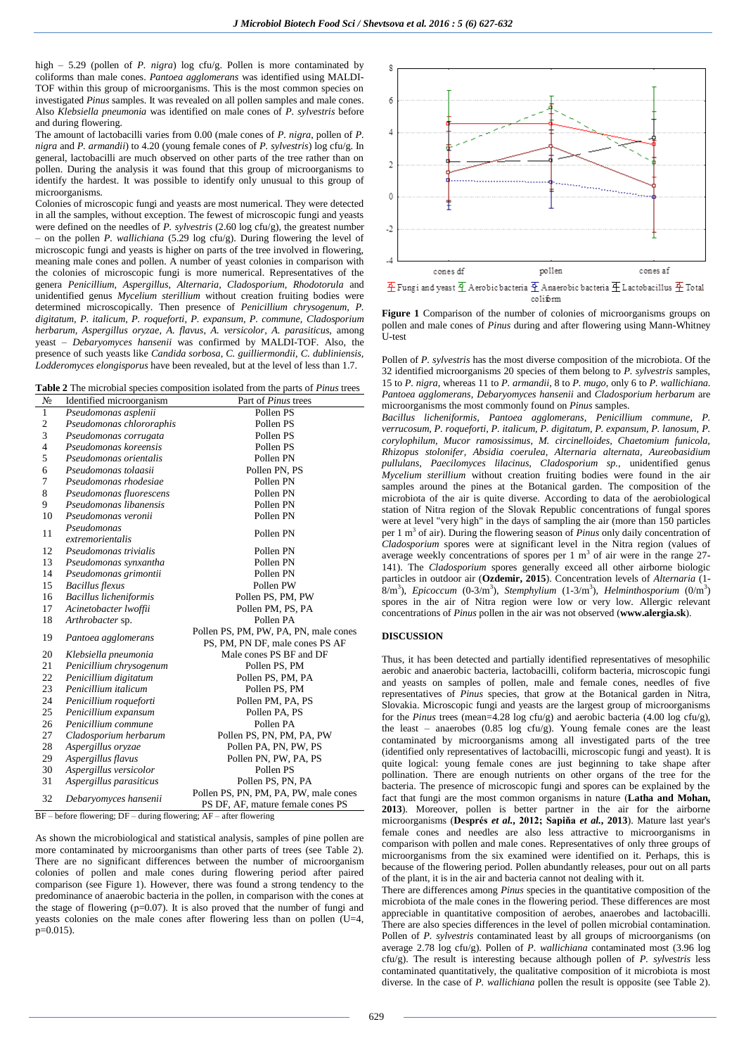high – 5.29 (pollen of *P. nigra*) log cfu/g. Pollen is more contaminated by coliforms than male cones. *Pantoea agglomerans* was identified using MALDI-TOF within this group of microorganisms. This is the most common species on investigated *Pinus* samples. It was revealed on all pollen samples and male cones. Also *Klebsiella pneumonia* was identified on male cones of *P. sylvestris* before and during flowering*.*

The amount of lactobacilli varies from 0.00 (male cones of *P. nigra*, pollen of *P. nigra* and *P. armandii*) to 4.20 (young female cones of *P. sylvestris*) log cfu/g. In general, lactobacilli are much observed on other parts of the tree rather than on pollen. During the analysis it was found that this group of microorganisms to identify the hardest. It was possible to identify only unusual to this group of microorganisms.

Colonies of microscopic fungi and yeasts are most numerical. They were detected in all the samples, without exception. The fewest of microscopic fungi and yeasts were defined on the needles of *P. sylvestris* (2.60 log cfu/g), the greatest number – on the pollen *P. wallichiana* (5.29 log cfu/g). During flowering the level of microscopic fungi and yeasts is higher on parts of the tree involved in flowering, meaning male cones and pollen. A number of yeast colonies in comparison with the colonies of microscopic fungi is more numerical. Representatives of the genera *Penicillium, Aspergillus, Alternaria, Cladosporium, Rhodotorula* and unidentified genus *Mycelium sterillium* without creation fruiting bodies were determined microscopically. Then presence of *Penicillium chrysogenum, P. digitatum, P. italicum, P. roqueforti, P. expansum, P. commune, Cladosporium herbarum, Aspergillus oryzae, A. flavus, A. versicolor, A. parasiticus,* among yeast *– Debaryomyces hansenii* was confirmed by MALDI-TOF. Also, the presence of such yeasts like *Candida sorbosa, C. guilliermondii, C. dubliniensis, Lodderomyces elongisporus* have been revealed, but at the level of less than 1.7.

| <b>Table 2</b> The microbial species composition isolated from the parts of <i>Pinus</i> trees |  |  |
|------------------------------------------------------------------------------------------------|--|--|
|------------------------------------------------------------------------------------------------|--|--|

| N <sub>2</sub> | Identified microorganism    | Part of Pinus trees                                                                                                                    |  |
|----------------|-----------------------------|----------------------------------------------------------------------------------------------------------------------------------------|--|
| $\mathbf{1}$   | Pseudomonas asplenii        | Pollen PS                                                                                                                              |  |
| $\mathfrak{2}$ | Pseudomonas chlororaphis    | Pollen PS                                                                                                                              |  |
| 3              | Pseudomonas corrugata       | Pollen PS                                                                                                                              |  |
| 4              | Pseudomonas koreensis       | Pollen PS                                                                                                                              |  |
| 5              | Pseudomonas orientalis      | Pollen PN                                                                                                                              |  |
| 6              | Pseudomonas tolaasii        | Pollen PN, PS                                                                                                                          |  |
| 7              | Pseudomonas rhodesiae       | Pollen PN                                                                                                                              |  |
| 8              | Pseudomonas fluorescens     | Pollen PN                                                                                                                              |  |
| 9              | Pseudomonas libanensis      | Pollen PN                                                                                                                              |  |
| 10             | Pseudomonas veronii         | Pollen PN                                                                                                                              |  |
| 11             | Pseudomonas                 | Pollen PN                                                                                                                              |  |
|                | extremorientalis            |                                                                                                                                        |  |
| 12             | Pseudomonas trivialis       | Pollen PN                                                                                                                              |  |
| 13             | Pseudomonas synxantha       | Pollen PN                                                                                                                              |  |
| 14             | Pseudomonas grimontii       | Pollen PN                                                                                                                              |  |
| 15             | <b>Bacillus</b> flexus      | Pollen PW                                                                                                                              |  |
| 16             | Bacillus licheniformis      | Pollen PS, PM, PW                                                                                                                      |  |
| 17             | Acinetobacter lwoffii       | Pollen PM, PS, PA                                                                                                                      |  |
| 18             | Arthrobacter sp.            | Pollen PA                                                                                                                              |  |
| 19             | Pantoea agglomerans         | Pollen PS, PM, PW, PA, PN, male cones                                                                                                  |  |
|                |                             | PS, PM, PN DF, male cones PS AF                                                                                                        |  |
| 20             | Klebsiella pneumonia        | Male cones PS BF and DF                                                                                                                |  |
| 21             | Penicillium chrysogenum     | Pollen PS, PM                                                                                                                          |  |
| 22             | Penicillium digitatum       | Pollen PS, PM, PA                                                                                                                      |  |
| 23             | Penicillium italicum        | Pollen PS, PM                                                                                                                          |  |
| 24             | Penicillium roqueforti      | Pollen PM, PA, PS                                                                                                                      |  |
| 25             | Penicillium expansum        | Pollen PA, PS                                                                                                                          |  |
| 26             | Penicillium commune         | Pollen PA                                                                                                                              |  |
| 27             | Cladosporium herbarum       | Pollen PS, PN, PM, PA, PW                                                                                                              |  |
| 28             | Aspergillus oryzae          | Pollen PA, PN, PW, PS                                                                                                                  |  |
| 29             | Aspergillus flavus          | Pollen PN, PW, PA, PS                                                                                                                  |  |
| 30             | Aspergillus versicolor      | Pollen PS                                                                                                                              |  |
| 31             | Aspergillus parasiticus     | Pollen PS, PN, PA                                                                                                                      |  |
|                | 32<br>Debaryomyces hansenii | Pollen PS, PN, PM, PA, PW, male cones                                                                                                  |  |
|                |                             | PS DF, AF, mature female cones PS<br>$\overline{DE}$ before flamening $\overline{DE}$ during flamening $\overline{AE}$ often flamening |  |

before flowering; DF – during flowering; AF – after flowering

As shown the microbiological and statistical analysis, samples of pine pollen are more contaminated by microorganisms than other parts of trees (see Table 2). There are no significant differences between the number of microorganism colonies of pollen and male cones during flowering period after paired comparison (see Figure 1). However, there was found a strong tendency to the predominance of anaerobic bacteria in the pollen, in comparison with the cones at the stage of flowering  $(p=0.07)$ . It is also proved that the number of fungi and yeasts colonies on the male cones after flowering less than on pollen (U=4,  $p=0.015$ ).



**Figure 1** Comparison of the number of colonies of microorganisms groups on pollen and male cones of *Pinus* during and after flowering using Mann-Whitney U-test

Pollen of *P. sylvestris* has the most diverse composition of the microbiota. Of the 32 identified microorganisms 20 species of them belong to *P. sylvestris* samples, 15 to *P. nigra*, whereas 11 to *P. armandii*, 8 to *P. mugo*, only 6 to *P. wallichiana*. *Pantoea agglomerans, Debaryomyces hansenii* and *Cladosporium herbarum* are microorganisms the most commonly found on *Pinus* samples.

*Bacillus licheniformis, Pantoea agglomerans, Penicillium commune, P. verrucosum, P. roqueforti, P. italicum, P. digitatum, P. expansum, P. lanosum, P. corylophilum, Mucor ramosissimus, M. circinelloides, Chaetomium funicola, Rhizopus stolonifer, Absidia coerulea, Alternaria alternata, Aureobasidium pullulans, Paecilomyces lilacinus, Cladosporium sp.,* unidentified genus *Mycelium sterillium* without creation fruiting bodies were found in the air samples around the pines at the Botanical garden. The composition of the microbiota of the air is quite diverse. According to data of the aerobiological station of Nitra region of the Slovak Republic concentrations of fungal spores were at level "very high" in the days of sampling the air (more than 150 particles per 1 m<sup>3</sup> of air). During the flowering season of *Pinus* only daily concentration of *Cladosporium* spores were at significant level in the Nitra region (values of average weekly concentrations of spores per  $1 \text{ m}^3$  of air were in the range 27-141). The *Cladosporium* spores generally exceed all other airborne biologic particles in outdoor air (**Ozdemir, 2015**). Concentration levels of *Alternaria* (1- 8/m<sup>3</sup>), *Epicoccum* (0-3/m<sup>3</sup>), *Stemphylium* (1-3/m<sup>3</sup>), *Helminthosporium* (0/m<sup>3</sup>) spores in the air of Nitra region were low or very low. Allergic relevant concentrations of *Pinus* pollen in the air was not observed (**www.alergia.sk**).

# **DISCUSSION**

Thus, it has been detected and partially identified representatives of mesophilic aerobic and anaerobic bacteria, lactobacilli, coliform bacteria, microscopic fungi and yeasts on samples of pollen, male and female cones, needles of five representatives of *Pinus* species, that grow at the Botanical garden in Nitra, Slovakia. Microscopic fungi and yeasts are the largest group of microorganisms for the *Pinus* trees (mean=4.28 log cfu/g) and aerobic bacteria (4.00 log cfu/g), the least – anaerobes  $(0.85 \log ctu/g)$ . Young female cones are the least contaminated by microorganisms among all investigated parts of the tree (identified only representatives of lactobacilli, microscopic fungi and yeast). It is quite logical: young female cones are just beginning to take shape after pollination. There are enough nutrients on other organs of the tree for the bacteria. The presence of microscopic fungi and spores can be explained by the fact that fungi are the most common organisms in nature (**Latha and Mohan, 2013**). Moreover, pollen is better partner in the air for the airborne microorganisms (**Després** *et al.***, 2012; Sapiňa** *et al.***, 2013**). Mature last year's female cones and needles are also less attractive to microorganisms in comparison with pollen and male cones. Representatives of only three groups of microorganisms from the six examined were identified on it. Perhaps, this is because of the flowering period. Pollen abundantly releases, pour out on all parts of the plant, it is in the air and bacteria cannot not dealing with it.

There are differences among *Pinus* species in the quantitative composition of the microbiota of the male cones in the flowering period. These differences are most appreciable in quantitative composition of aerobes, anaerobes and lactobacilli. There are also species differences in the level of pollen microbial contamination. Pollen of *P. sylvestris* contaminated least by all groups of microorganisms (on average 2.78 log cfu/g). Pollen of *P. wallichiana* contaminated most (3.96 log cfu/g). The result is interesting because although pollen of *P. sylvestris* less contaminated quantitatively, the qualitative composition of it microbiota is most diverse. In the case of *P. wallichiana* pollen the result is opposite (see Table 2).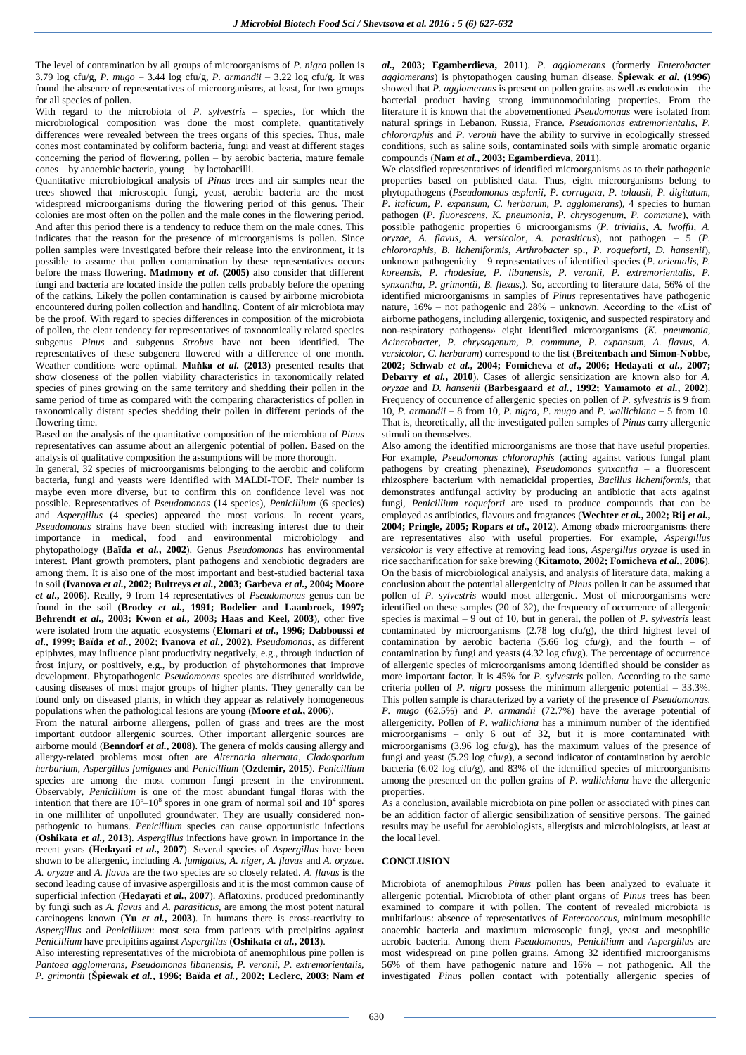The level of contamination by all groups of microorganisms of *P. nigra* pollen is 3.79 log cfu/g, *P. mugo* – 3.44 log cfu/g*, P. armandii* – 3.22 log cfu/g. It was found the absence of representatives of microorganisms, at least, for two groups for all species of pollen.

With regard to the microbiota of *P. sylvestris* – species, for which the microbiological composition was done the most complete, quantitatively differences were revealed between the trees organs of this species. Thus, male cones most contaminated by coliform bacteria, fungi and yeast at different stages concerning the period of flowering, pollen – by aerobic bacteria, mature female cones – by anaerobic bacteria, young – by lactobacilli.

Quantitative microbiological analysis of *Pinus* trees and air samples near the trees showed that microscopic fungi, yeast, aerobic bacteria are the most widespread microorganisms during the flowering period of this genus. Their colonies are most often on the pollen and the male cones in the flowering period. And after this period there is a tendency to reduce them on the male cones. This indicates that the reason for the presence of microorganisms is pollen. Since pollen samples were investigated before their release into the environment, it is possible to assume that pollen contamination by these representatives occurs before the mass flowering. **Madmony** *et al.* **(2005)** also consider that different fungi and bacteria are located inside the pollen cells probably before the opening of the catkins. Likely the pollen contamination is caused by airborne microbiota encountered during pollen collection and handling. Content of air microbiota may be the proof. With regard to species differences in composition of the microbiota of pollen, the clear tendency for representatives of taxonomically related species subgenus *Pinus* and subgenus *Strobus* have not been identified. The representatives of these subgenera flowered with a difference of one month. Weather conditions were optimal. **Maňka** *et al.* **(2013)** presented results that show closeness of the pollen viability characteristics in taxonomically related species of pines growing on the same territory and shedding their pollen in the same period of time as compared with the comparing characteristics of pollen in taxonomically distant species shedding their pollen in different periods of the flowering time.

Based on the analysis of the quantitative composition of the microbiota of *Pinus*  representatives can assume about an allergenic potential of pollen. Based on the analysis of qualitative composition the assumptions will be more thorough.

In general, 32 species of microorganisms belonging to the aerobic and coliform bacteria, fungi and yeasts were identified with MALDI-TOF. Their number is maybe even more diverse, but to confirm this on confidence level was not possible. Representatives of *Pseudomonas* (14 species)*, Penicillium* (6 species) and *Aspergillus* (4 species) appeared the most various. In recent years, *Pseudomonas* strains have been studied with increasing interest due to their importance in medical, food and environmental microbiology and phytopathology (**Baїda** *et al.***, 2002**). Genus *Pseudomonas* has environmental interest. Plant growth promoters, plant pathogens and xenobiotic degraders are among them. It is also one of the most important and best-studied bacterial taxa in soil (**Ivanova** *et al.***, 2002; Bultreys** *et al.***, 2003; Garbeva** *et al.***, 2004; Moore**  *et al.***, 2006**). Really, 9 from 14 representatives of *Pseudomonas* genus can be found in the soil (**Brodey** *et al.***, 1991; Bodelier and Laanbroek, 1997; Behrendt** *et al.***, 2003; Kwon** *et al.***, 2003; Haas and Keel, 2003**), other five were isolated from the aquatic ecosystems (**Elomari** *et al.***, 1996; Dabboussi** *et al.***, 1999; Baïda** *et al.***, 2002; Ivanova** *et al.***, 2002**). *Pseudomonas*, as different epiphytes, may influence plant productivity negatively, e.g., through induction of frost injury, or positively, e.g., by production of phytohormones that improve development. Phytopathogenic *Pseudomonas* species are distributed worldwide, causing diseases of most major groups of higher plants. They generally can be found only on diseased plants, in which they appear as relatively homogeneous populations when the pathological lesions are young (**Moore** *et al.***, 2006**).

From the natural airborne allergens, pollen of grass and trees are the most important outdoor allergenic sources. Other important allergenic sources are airborne mould (**Benndorf** *et al.***, 2008**). The genera of molds causing allergy and allergy-related problems most often are *Alternaria alternata, Cladosporium herbarium, Aspergillus fumigates* and *Penicillium* (**Ozdemir, 2015**). *Penicillium* species are among the most common fungi present in the environment. Observably, *Penicillium* is one of the most abundant fungal floras with the intention that there are  $10^6 - 10^8$  spores in one gram of normal soil and  $10^4$  spores in one milliliter of unpolluted groundwater. They are usually considered nonpathogenic to humans. *Penicillium* species can cause opportunistic infections (**Oshikata** *et al.***, 2013**). *Aspergillus* infections have grown in importance in the recent years (**Hedayati** *et al.***, 2007**). Several species of *Aspergillus* have been shown to be allergenic, including *A. fumigatus, A. niger, A. flavus* and *A. oryzae. A. oryzae* and *A. flavus* are the two species are so closely related. *A. flavus* is the second leading cause of invasive aspergillosis and it is the most common cause of superficial infection (**Hedayati** *et al.***, 2007**). Aflatoxins, produced predominantly by fungi such as *A. flavus* and *A. parasiticus*, are among the most potent natural carcinogens known (**Yu** *et al.***, 2003**). In humans there is cross-reactivity to *Aspergillus* and *Penicillium*: most sera from patients with precipitins against *Penicillium* have precipitins against *Aspergillus* (**Oshikata** *et al.***, 2013**).

Also interesting representatives of the microbiota of anemophilous pine pollen is *Pantoea agglomerans*, *Pseudomonas libanensis, P. veronii, P. extremorientalis, P. grimontii* (**Špiewak** *et al.***, 1996; Baïda** *et al.***, 2002; Leclerc, 2003; Nam** *et*  *al.***, 2003; Egamberdieva, 2011**). *P. agglomerans* (formerly *Enterobacter agglomerans*) is phytopathogen causing human disease. **Špiewak** *et al.* **(1996)** showed that *P. agglomerans* is present on pollen grains as well as endotoxin – the bacterial product having strong immunomodulating properties. From the literature it is known that the abovementioned *Pseudomonas* were isolated from natural springs in Lebanon, Russia, France. *Pseudomonas extremorientalis*, *P. chlororaphis* and *P. veronii* have the ability to survive in ecologically stressed conditions, such as saline soils, contaminated soils with simple aromatic organic compounds (**Nam** *et al.***, 2003; Egamberdieva, 2011**).

We classified representatives of identified microorganisms as to their pathogenic properties based on published data. Thus, eight microorganisms belong to phytopathogens (*Pseudomonas asplenii, P. corrugata, P. tolaasii, P. digitatum, P. italicum, P. expansum, C. herbarum, P. agglomerans*), 4 species to human pathogen (*P. fluorescens, K. pneumonia, P. chrysogenum, P. commune*), with possible pathogenic properties 6 microorganisms (*P. trivialis, A. lwoffii, A. oryzae, A. flavus, A. versicolor, A. parasiticus*), not pathogen – 5 (*P. chlororaphis, B. licheniformis, Arthrobacter* sp., *P. roqueforti, D. hansenii*), unknown pathogenicity – 9 representatives of identified species (*P. orientalis, P. koreensis, P. rhodesiae, P. libanensis, P. veronii, P. extremorientalis, P. synxantha, P. grimontii, B. flexus,*). So, according to literature data, 56% of the identified microorganisms in samples of *Pinus* representatives have pathogenic nature, 16% – not pathogenic and 28% – unknown. According to the «List of airborne pathogens, including allergenic, toxigenic, and suspected respiratory and non-respiratory pathogens» eight identified microorganisms (*K. pneumonia, Acinetobacter, P. chrysogenum, P. commune, P. expansum, A. flavus, A. versicolor, C. herbarum*) correspond to the list (**Breitenbach and Simon-Nobbe, 2002; Schwab** *et al.***, 2004; Fomicheva** *et al.***, 2006; Hedayati** *et al.***, 2007; Debarry** *et al.***, 2010**). Cases of allergic sensitization are known also for *A. oryzae* and *D. hansenii* (**Barbesgaard** *et al.***, 1992; Yamamoto** *et al.***, 2002**). Frequency of occurrence of allergenic species on pollen of *P. sylvestris* is 9 from 10, *P. armandii* – 8 from 10, *P. nigra*, *P. mugo* and *P. wallichiana* – 5 from 10. That is, theoretically, all the investigated pollen samples of *Pinus* carry allergenic stimuli on themselves.

Also among the identified microorganisms are those that have useful properties. For example, *Pseudomonas chlororaphis* (acting against various fungal plant pathogens by creating phenazine), *Pseudomonas synxantha* – a fluorescent rhizosphere bacterium with nematicidal properties, *Bacillus licheniformis,* that demonstrates antifungal activity by producing an antibiotic that acts against fungi, *Penicillium roqueforti* are used to produce compounds that can be employed as antibiotics, flavours and fragrances (**Wechter** *et al.***, 2002; Rij** *et al.***, 2004; Pringle, 2005; Ropars** *et al.***, 2012**). Among «bad» microorganisms there are representatives also with useful properties. For example, *Aspergillus versicolor* is very effective at removing lead ions, *Aspergillus oryzae* is used in rice saccharification for sake brewing (**Kitamoto, 2002; Fomicheva** *et al.***, 2006**). On the basis of microbiological analysis, and analysis of literature data, making a conclusion about the potential allergenicity of *Pinus* pollen it can be assumed that pollen of *P. sylvestris* would most allergenic. Most of microorganisms were identified on these samples (20 of 32), the frequency of occurrence of allergenic species is maximal – 9 out of 10, but in general, the pollen of *P. sylvestris* least contaminated by microorganisms (2.78 log cfu/g), the third highest level of contamination by aerobic bacteria (5.66 log cfu/g), and the fourth – of contamination by fungi and yeasts (4.32 log cfu/g). The percentage of occurrence of allergenic species of microorganisms among identified should be consider as more important factor. It is 45% for *P. sylvestris* pollen. According to the same criteria pollen of *P. nigra* possess the minimum allergenic potential – 33.3%. This pollen sample is characterized by a variety of the presence of *Pseudomonas. P. mugo* (62.5%) and *P. armandii* (72.7%) have the average potential of allergenicity. Pollen of *P. wallichiana* has a minimum number of the identified microorganisms – only 6 out of 32, but it is more contaminated with microorganisms (3.96 log cfu/g), has the maximum values of the presence of fungi and yeast (5.29 log cfu/g), a second indicator of contamination by aerobic bacteria (6.02 log cfu/g), and 83% of the identified species of microorganisms among the presented on the pollen grains of *P. wallichiana* have the allergenic properties.

As a conclusion, available microbiota on pine pollen or associated with pines can be an addition factor of allergic sensibilization of sensitive persons. The gained results may be useful for aerobiologists, allergists and microbiologists, at least at the local level.

# **CONCLUSION**

Microbiota of anemophilous *Pinus* pollen has been analyzed to evaluate it allergenic potential. Microbiota of other plant organs of *Pinus* trees has been examined to compare it with pollen. The content of revealed microbiota is multifarious: absence of representatives of *Enterococcus*, minimum mesophilic anaerobic bacteria and maximum microscopic fungi, yeast and mesophilic aerobic bacteria. Among them *Pseudomonas, Penicillium* and *Aspergillus* are most widespread on pine pollen grains. Among 32 identified microorganisms 56% of them have pathogenic nature and 16% – not pathogenic. All the investigated *Pinus* pollen contact with potentially allergenic species of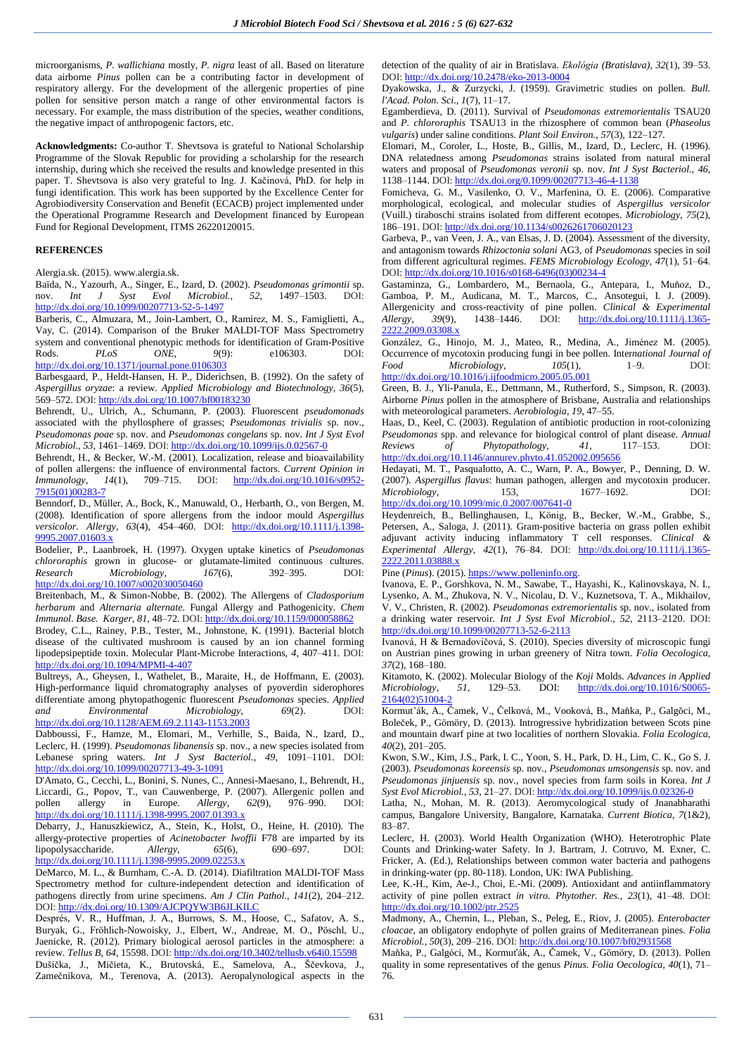microorganisms, *P. wallichiana* mostly, *P. nigra* least of all. Based on literature data airborne *Pinus* pollen can be a contributing factor in development of respiratory allergy. For the development of the allergenic properties of pine pollen for sensitive person match a range of other environmental factors is necessary. For example, the mass distribution of the species, weather conditions, the negative impact of anthropogenic factors, etc.

**Acknowledgments:** Co-author T. Shevtsova is grateful to National Scholarship Programme of the Slovak Republic for providing a scholarship for the research internship, during which she received the results and knowledge presented in this paper. T. Shevtsova is also very grateful to Ing. J. Kačinová, PhD. for help in fungi identification. This work has been supported by the Excellence Center for Agrobiodiversity Conservation and Benefit (ECACB) project implemented under the Operational Programme Research and Development financed by European Fund for Regional Development, ITMS 26220120015.

### **REFERENCES**

Alergia.sk. (2015). www.alergia.sk.

Baïda, N., Yazourh, A., Singer, E., Izard, D. (2002). *Pseudomonas grimontii* sp. nov. *Int J Syst Evol Microbiol.*, *52*, 1497–1503. DOI: <http://dx.doi.org/10.1099/00207713-52-5-1497>

Barberis, C., Almuzara, M., Join-Lambert, O., Ramírez, M. S., Famiglietti, A., Vay, C. (2014). Comparison of the Bruker MALDI-TOF Mass Spectrometry system and conventional phenotypic methods for identification of Gram-Positive Rods. *PLoS ONE*, *9*(9): e106303. DOI: <http://dx.doi.org/10.1371/journal.pone.0106303>

Barbesgaard, P., Heldt-Hansen, H. P., Diderichsen, B. (1992). On the safety of *Aspergillus oryzae*: a review. *Applied Microbiology and Biotechnology*, *36*(5), 569–572. DOI: <http://dx.doi.org/10.1007/bf00183230>

Behrendt, U., Ulrich, A., Schumann, P. (2003). Fluorescent *pseudomonads* associated with the phyllosphere of grasses; *Pseudomonas trivialis* sp. nov., *Pseudomonas poae* sp. nov. and *Pseudomonas congelans* sp. nov. *Int J Syst Evol Microbiol*., *53*, 1461–1469. DOI: <http://dx.doi.org/10.1099/ijs.0.02567-0>

Behrendt, H., & Becker, W.-M. (2001). Localization, release and bioavailability of pollen allergens: the influence of environmental factors. *Current Opinion in Immunology*, *14*(1), 709–715. DOI: [http://dx.doi.org/10.1016/s0952-](http://dx.doi.org/10.1016/s0952-7915(01)00283-7) [7915\(01\)00283-7](http://dx.doi.org/10.1016/s0952-7915(01)00283-7)

Benndorf, D., Müller, A., Bock, K., Manuwald, O., Herbarth, O., von Bergen, M. (2008). Identification of spore allergens from the indoor mould *Aspergillus versicolor*. *Allergy*, *63*(4), 454–460. DOI: [http://dx.doi.org/10.1111/j.1398-](http://dx.doi.org/10.1111/j.1398-9995.2007.01603.x) [9995.2007.01603.x](http://dx.doi.org/10.1111/j.1398-9995.2007.01603.x)

Bodelier, P., Laanbroek, H. (1997). Oxygen uptake kinetics of *Pseudomonas chlororaphis* grown in glucose- or glutamate-limited continuous cultures.<br> *Research Microbiology*, 167(6), 392-395. DOI: *Research Microbiology*, *167*(6), 392–395. DOI: <http://dx.doi.org/10.1007/s002030050460>

Breitenbach, M., & Simon-Nobbe, B. (2002). The Allergens of *Cladosporium herbarum* and *Alternaria alternate.* Fungal Allergy and Pathogenicity. *Chem Immunol. Base. Karger*, *81*, 48–72. DOI: <http://dx.doi.org/10.1159/000058862>

Brodey, C.L., Rainey, P.B., Tester, M., Johnstone, K. (1991). Bacterial blotch disease of the cultivated mushroom is caused by an ion channel forming lipodepsipeptide toxin. Molecular Plant-Microbe Interactions, *4*, 407–411. DOI: <http://dx.doi.org/10.1094/MPMI-4-407>

Bultreys, A., Gheysen, I., Wathelet, B., Maraite, H., de Hoffmann, E. (2003). High-performance liquid chromatography analyses of pyoverdin siderophores differentiate among phytopathogenic fluorescent *Pseudomonas* species. *Applied and Environmental Microbiology*, *69*(2). DOI: <http://dx.doi.org/10.1128/AEM.69.2.1143-1153.2003>

Dabboussi, F., Hamze, M., Elomari, M., Verhille, S., Baida, N., Izard, D., Leclerc, H. (1999). *Pseudomonas libanensis* sp. nov., a new species isolated from Lebanese spring waters. *Int J Syst Bacteriol.*, *49*, 1091–1101. DOI: <http://dx.doi.org/10.1099/00207713-49-3-1091>

D'Amato, G., Cecchi, L., Bonini, S. Nunes, C., Annesi-Maesano, I., Behrendt, H., Liccardi, G., Popov, T., van Cauwenberge, P. (2007). Allergenic pollen and pollen allergy in Europe. Allergy, 62(9), 976–990. DOI: pollen allergy in Europe. *Allergy*, *62*(9), 976–990. DOI: <http://dx.doi.org/10.1111/j.1398-9995.2007.01393.x>

Debarry, J., Hanuszkiewicz, A., Stein, K., Holst, O., Heine, H. (2010). The allergy-protective properties of *Acinetobacter lwoffii* F78 are imparted by its lipopolysaccharide. *Allergy*, *65*(6), 690–697. DOI: <http://dx.doi.org/10.1111/j.1398-9995.2009.02253.x>

DeMarco, M. L., & Burnham, C.-A. D. (2014). Diafiltration MALDI-TOF Mass Spectrometry method for culture-independent detection and identification of pathogens directly from urine specimens. *Am J Clin Pathol.*, *141*(2), 204–212. DOI: <http://dx.doi.org/10.1309/AJCPQYW3B6JLKILC>

Després, V. R., Huffman, J. A., Burrows, S. M., Hoose, C., Safatov, A. S., Buryak, G., Fröhlich-Nowoisky, J., Elbert, W., Andreae, M. O., Pöschl, U., Jaenicke, R. (2012). Primary biological aerosol particles in the atmosphere: a review. *Tellus B*, *64*, 15598. DOI: <http://dx.doi.org/10.3402/tellusb.v64i0.15598>

Dušička, J., Mičieta, K., Brutovská, E., Samelova, A., Ščevkova, J., Zamečnikova, M., Terenova, A. (2013). Aeropalynological aspects in the detection of the quality of air in Bratislava. *Ekológia (Bratislava)*, *32*(1), 39–53. DOI: <http://dx.doi.org/10.2478/eko-2013-0004>

Dyakowska, J., & Zurzycki, J. (1959). Gravimetric studies on pollen. *Bull. l'Acad. Polon. Sci*., *1*(7), 11–17.

Egamberdieva, D. (2011). Survival of *Pseudomonas extremorientalis* TSAU20 and *P. chlororaphis* TSAU13 in the rhizosphere of common bean (*Phaseolus vulgaris*) under saline conditions. *Plant Soil Environ.*, *57*(3), 122–127.

Elomari, M., Coroler, L., Hoste, B., Gillis, M., Izard, D., Leclerc, H. (1996). DNA relatedness among *Pseudomonas* strains isolated from natural mineral waters and proposal of *Pseudomonas veronii* sp. nov. *Int J Syst Bacteriol.*, *46*, 1138–1144. DOI: <http://dx.doi.org/0.1099/00207713-46-4-1138>

Fomicheva, G. M., Vasilenko, O. V., Marfenina, O. E. (2006). Comparative morphological, ecological, and molecular studies of *Aspergillus versicolor* (Vuill.) tiraboschi strains isolated from different ecotopes. *Microbiology*, *75*(2), 186–191. DOI: <http://dx.doi.org/10.1134/s0026261706020123>

Garbeva, P., van Veen, J. A., van Elsas, J. D. (2004). Assessment of the diversity, and antagonism towards *Rhizoctonia solani* AG3, of *Pseudomonas* species in soil from different agricultural regimes. *FEMS Microbiology Ecology*, *47*(1), 51–64. DOI: [http://dx.doi.org/10.1016/s0168-6496\(03\)00234-4](http://dx.doi.org/10.1016/s0168-6496(03)00234-4)

Gastaminza, G., Lombardero, M., Bernaola, G., Antepara, I., Muňoz, D., Gamboa, P. M., Audicana, M. T., Marcos, C., Ansotegui, I. J. (2009). Allergenicity and cross-reactivity of pine pollen. *Clinical & Experimental Allergy*, *39*(9), 1438–1446. DOI: [http://dx.doi.org/10.1111/j.1365-](http://dx.doi.org/10.1111/j.1365-2222.2009.03308.x) [2222.2009.03308.x](http://dx.doi.org/10.1111/j.1365-2222.2009.03308.x)

González, G., Hinojo, M. J., Mateo, R., Medina, A., Jiménez M. (2005). Occurrence of mycotoxin producing fungi in bee pollen. International *Journal* of Food Microbiology. 105(1). 1–9. DOI: *Food Microbiology*, *105*(1), 1–9. DOI: <http://dx.doi.org/10.1016/j.ijfoodmicro.2005.05.001>

Green, B. J., Yli-Panula, E., Dettmann, M., Rutherford, S., Simpson, R. (2003). Airborne *Pinus* pollen in the atmosphere of Brisbane, Australia and relationships with meteorological parameters. *Aerobiologia*, *19*, 47–55.

Haas, D., Keel, C. (2003). Regulation of antibiotic production in root-colonizing *Pseudomonas* spp. and relevance for biological control of plant disease. *Annual Reviews* of *Phytopathology*, 41, 117–153. DOI: *Reviews of Phytopathology*, *41*, 117–153. DOI: <http://dx.doi.org/10.1146/annurev.phyto.41.052002.095656>

Hedayati, M. T., Pasqualotto, A. C., Warn, P. A., Bowyer, P., Denning, D. W. (2007). *Aspergillus flavus*: human pathogen, allergen and mycotoxin producer. *Microbiology*, 153, 1677–1692. DOI: <http://dx.doi.org/10.1099/mic.0.2007/007641-0>

Heydenreich, B., Bellinghausen, I., König, B., Becker, W.-M., Grabbe, S., Petersen, A., Saloga, J. (2011). Gram-positive bacteria on grass pollen exhibit adjuvant activity inducing inflammatory T cell responses. *Clinical & Experimental Allergy*, *42*(1), 76–84. DOI: [http://dx.doi.org/10.1111/j.1365-](http://dx.doi.org/10.1111/j.1365-2222.2011.03888.x) 22.2011.03888.x

Pine (*Pinus*). (2015). [https://www.polleninfo.org.](https://www.polleninfo.org/)

Ivanova, E. P., Gorshkova, N. M., Sawabe, T., Hayashi, K., Kalinovskaya, N. I., Lysenko, A. M., Zhukova, N. V., Nicolau, D. V., Kuznetsova, T. A., Mikhailov, V. V., Christen, R. (2002). *Pseudomonas extremorientalis* sp. nov., isolated from a drinking water reservoir. *Int J Syst Evol Microbiol*., *52*, 2113–2120. DOI: <http://dx.doi.org/10.1099/00207713-52-6-2113>

Ivanová, H & Bernadovičová, S. (2010). Species diversity of microscopic fungi on Austrian pines growing in urban greenery of Nitra town. *Folia Oecologica*, *37*(2), 168–180.

Kitamoto, K. (2002). Molecular Biology of the *Koji* Molds. *Advances in Applied Microbiology*, *51*, 129–53. DOI: [http://dx.doi.org/10.1016/S0065-](http://dx.doi.org/10.1016/S0065-2164(02)51004-2) [2164\(02\)51004-2](http://dx.doi.org/10.1016/S0065-2164(02)51004-2)

Kormut'ák, A., Čamek, V., Čelková, M., Vooková, B., Maňka, P., Galgŏci, M., Boleček, P., Gӧmӧry, D. (2013). Introgressive hybridization between Scots pine and mountain dwarf pine at two localities of northern Slovakia. *Folia Ecologica*, *40*(2), 201–205.

Kwon, S.W., Kim, J.S., Park, I. C., Yoon, S. H., Park, D. H., Lim, C. K., Go S. J. (2003). *Pseudomonas koreensis* sp. nov., *Pseudomonas umsongensis* sp. nov. and *Pseudomonas jinjuensis* sp. nov., novel species from farm soils in Korea. *Int J Syst Evol Microbiol.*, *53*, 21–27. DOI: <http://dx.doi.org/10.1099/ijs.0.02326-0>

Latha, N., Mohan, M. R. (2013). Aeromycological study of Jnanabharathi campus, Bangalore University, Bangalore, Karnataka. *Current Biotica, 7*(1&2), 83–87.

Leclerc, H. (2003). World Health Organization (WHO). Heterotrophic Plate Counts and Drinking-water Safety. In J. Bartram, J. Cotruvo, M. Exner, C. Fricker, A. (Ed.), Relationships between common water bacteria and pathogens in drinking-water (pp. 80-118). London, UK: IWA Publishing.

Lee, K.-H., Kim, Ae-J., Choi, E.-Mi. (2009). Antioxidant and antiinflammatory activity of pine pollen extract *in vitro. Phytother. Res.*, *23*(1), 41–48. DOI: <http://dx.doi.org/10.1002/ptr.2525>

Madmony, A., Chernin, L., Pleban, S., Peleg, E., Riov, J. (2005). *Enterobacter cloacae*, an obligatory endophyte of pollen grains of Mediterranean pines. *Folia Microbiol.*, *50*(3), 209–216. DOI: <http://dx.doi.org/10.1007/bf02931568>

Maňka, P., Galgóci, M., Kormuťák, A., Čamek, V., Gömöry, D. (2013). Pollen quality in some representatives of the genus *Pinus. Folia Oecologica, 40*(1), 71– 76.